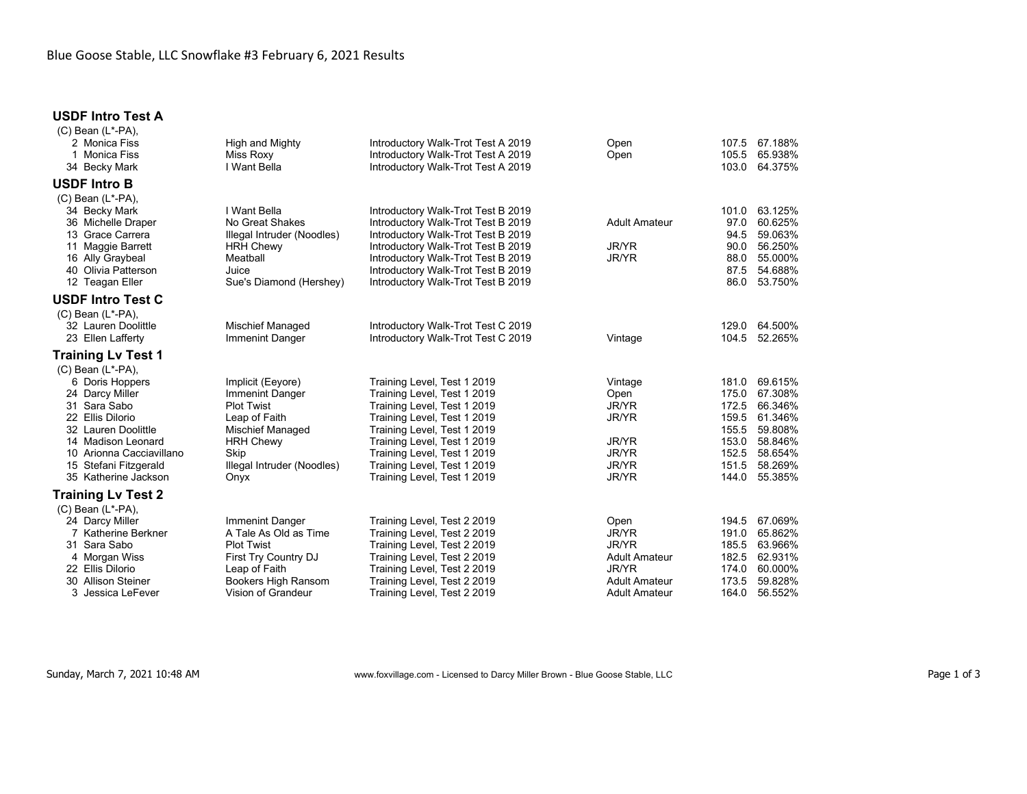## **USDF Intro Test A**

| $(C)$ Bean $(L^*$ -PA).<br>2 Monica Fiss<br>1 Monica Fiss<br>34 Becky Mark                                                                                                                                                  | High and Mighty<br>Miss Roxy<br>I Want Bella                                                                                                                     | Introductory Walk-Trot Test A 2019<br>Introductory Walk-Trot Test A 2019<br>Introductory Walk-Trot Test A 2019                                                                                                                                                                      | Open<br>Open                                                                                                                 | 107.5<br>105.5<br>103.0                                                       | 67.188%<br>65.938%<br>64.375%                                                                   |
|-----------------------------------------------------------------------------------------------------------------------------------------------------------------------------------------------------------------------------|------------------------------------------------------------------------------------------------------------------------------------------------------------------|-------------------------------------------------------------------------------------------------------------------------------------------------------------------------------------------------------------------------------------------------------------------------------------|------------------------------------------------------------------------------------------------------------------------------|-------------------------------------------------------------------------------|-------------------------------------------------------------------------------------------------|
| <b>USDF Intro B</b>                                                                                                                                                                                                         |                                                                                                                                                                  |                                                                                                                                                                                                                                                                                     |                                                                                                                              |                                                                               |                                                                                                 |
| $(C)$ Bean $(L^*$ -PA),<br>34 Becky Mark<br>36 Michelle Draper<br>13 Grace Carrera<br>11 Maggie Barrett<br>16 Ally Graybeal<br>40 Olivia Patterson<br>12 Teagan Eller                                                       | I Want Bella<br>No Great Shakes<br>Illegal Intruder (Noodles)<br><b>HRH Chewy</b><br>Meatball<br>Juice<br>Sue's Diamond (Hershey)                                | Introductory Walk-Trot Test B 2019<br>Introductory Walk-Trot Test B 2019<br>Introductory Walk-Trot Test B 2019<br>Introductory Walk-Trot Test B 2019<br>Introductory Walk-Trot Test B 2019<br>Introductory Walk-Trot Test B 2019<br>Introductory Walk-Trot Test B 2019              | <b>Adult Amateur</b><br><b>JR/YR</b><br>JR/YR                                                                                | 101.0<br>97.0<br>94.5<br>90.0<br>88.0<br>87.5<br>86.0                         | 63.125%<br>60.625%<br>59.063%<br>56.250%<br>55.000%<br>54.688%<br>53.750%                       |
| <b>USDF Intro Test C</b>                                                                                                                                                                                                    |                                                                                                                                                                  |                                                                                                                                                                                                                                                                                     |                                                                                                                              |                                                                               |                                                                                                 |
| $(C)$ Bean $(L^*$ -PA),<br>32 Lauren Doolittle<br>23 Ellen Lafferty                                                                                                                                                         | <b>Mischief Managed</b><br>Immenint Danger                                                                                                                       | Introductory Walk-Trot Test C 2019<br>Introductory Walk-Trot Test C 2019                                                                                                                                                                                                            | Vintage                                                                                                                      | 129.0<br>104.5                                                                | 64.500%<br>52.265%                                                                              |
| <b>Training Lv Test 1</b>                                                                                                                                                                                                   |                                                                                                                                                                  |                                                                                                                                                                                                                                                                                     |                                                                                                                              |                                                                               |                                                                                                 |
| $(C)$ Bean $(L^*$ -PA),<br>6 Doris Hoppers<br>24 Darcy Miller<br>31 Sara Sabo<br>22 Ellis Dilorio<br>32 Lauren Doolittle<br>14 Madison Leonard<br>10 Arionna Cacciavillano<br>15 Stefani Fitzgerald<br>35 Katherine Jackson | Implicit (Eeyore)<br>Immenint Danger<br><b>Plot Twist</b><br>Leap of Faith<br>Mischief Managed<br><b>HRH Chewy</b><br>Skip<br>Illegal Intruder (Noodles)<br>Onyx | Training Level, Test 1 2019<br>Training Level, Test 1 2019<br>Training Level, Test 1 2019<br>Training Level, Test 1 2019<br>Training Level, Test 1 2019<br>Training Level, Test 1 2019<br>Training Level, Test 1 2019<br>Training Level, Test 1 2019<br>Training Level, Test 1 2019 | Vintage<br>Open<br><b>JR/YR</b><br><b>JR/YR</b><br><b>JR/YR</b><br>JR/YR<br>JR/YR<br>JR/YR                                   | 181.0<br>175.0<br>172.5<br>159.5<br>155.5<br>153.0<br>152.5<br>151.5<br>144.0 | 69.615%<br>67.308%<br>66.346%<br>61.346%<br>59.808%<br>58.846%<br>58.654%<br>58.269%<br>55.385% |
| Training Lv Test 2                                                                                                                                                                                                          |                                                                                                                                                                  |                                                                                                                                                                                                                                                                                     |                                                                                                                              |                                                                               |                                                                                                 |
| $(C)$ Bean $(L^*$ -PA),<br>24 Darcy Miller<br>Katherine Berkner<br>31 Sara Sabo<br>4 Morgan Wiss<br>22 Ellis Dilorio<br>30 Allison Steiner<br>3 Jessica LeFever                                                             | Immenint Danger<br>A Tale As Old as Time<br><b>Plot Twist</b><br>First Try Country DJ<br>Leap of Faith<br>Bookers High Ransom<br>Vision of Grandeur              | Training Level, Test 2 2019<br>Training Level, Test 2 2019<br>Training Level, Test 2 2019<br>Training Level, Test 2 2019<br>Training Level, Test 2 2019<br>Training Level, Test 2 2019<br>Training Level, Test 2 2019                                                               | Open<br><b>JR/YR</b><br><b>JR/YR</b><br><b>Adult Amateur</b><br><b>JR/YR</b><br><b>Adult Amateur</b><br><b>Adult Amateur</b> | 194.5<br>191.0<br>185.5<br>182.5<br>174.0<br>173.5<br>164.0                   | 67.069%<br>65.862%<br>63.966%<br>62.931%<br>60.000%<br>59.828%<br>56.552%                       |

Sunday, March 7, 2021 10:48 AM **WWW.foxvillage.com - Licensed to Darcy Miller Brown - Blue Goose Stable, LLC** Page 1 of 3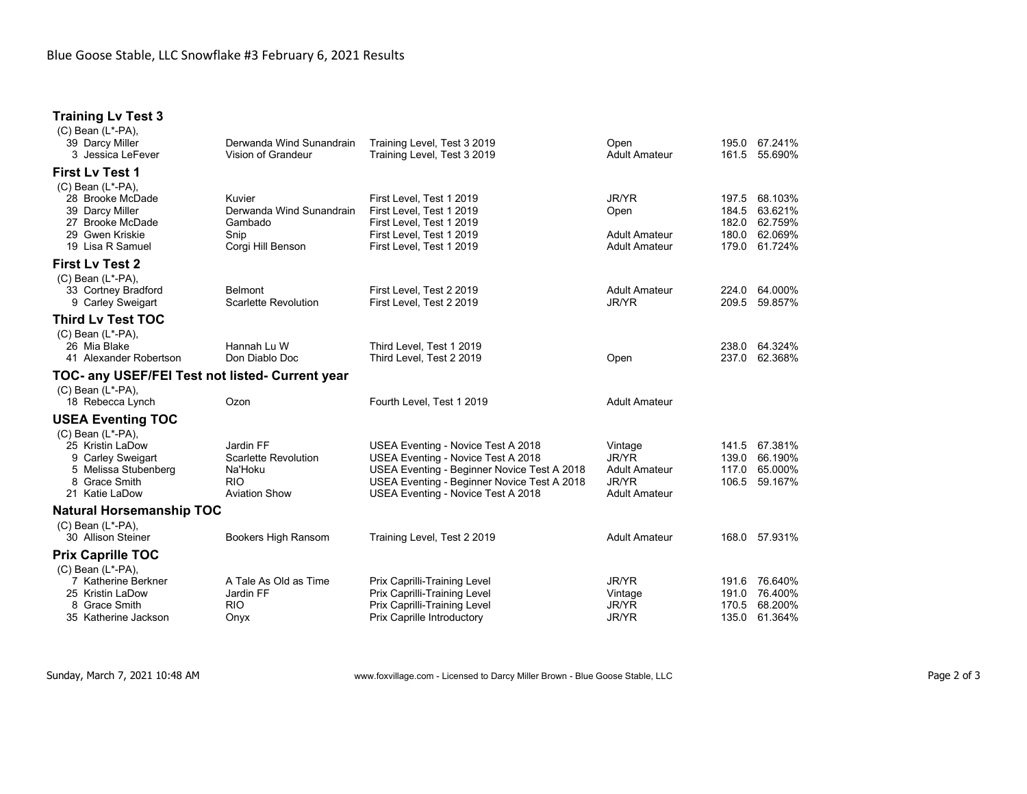## **Training Lv Test 3**

| $(C)$ Bean $(L^*$ -PA),<br>39 Darcy Miller<br>3 Jessica LeFever                                                             | Derwanda Wind Sunandrain<br>Vision of Grandeur                                            | Training Level, Test 3 2019<br>Training Level, Test 3 2019                                                                                                                                                   | Open<br><b>Adult Amateur</b>                                              | 195.0<br>161.5                   | 67.241%<br>55.690%                       |
|-----------------------------------------------------------------------------------------------------------------------------|-------------------------------------------------------------------------------------------|--------------------------------------------------------------------------------------------------------------------------------------------------------------------------------------------------------------|---------------------------------------------------------------------------|----------------------------------|------------------------------------------|
|                                                                                                                             |                                                                                           |                                                                                                                                                                                                              |                                                                           |                                  |                                          |
| <b>First Lv Test 1</b><br>$(C)$ Bean $(L^*$ -PA),                                                                           |                                                                                           |                                                                                                                                                                                                              |                                                                           |                                  |                                          |
| 28 Brooke McDade<br>39 Darcy Miller<br>27 Brooke McDade                                                                     | Kuvier<br>Derwanda Wind Sunandrain<br>Gambado                                             | First Level, Test 1 2019<br>First Level, Test 1 2019<br>First Level, Test 1 2019                                                                                                                             | <b>JR/YR</b><br>Open                                                      | 197.5<br>184.5<br>182.0          | 68.103%<br>63.621%<br>62.759%            |
| 29 Gwen Kriskie<br>19 Lisa R Samuel                                                                                         | Snip<br>Corgi Hill Benson                                                                 | First Level, Test 1 2019<br>First Level, Test 1 2019                                                                                                                                                         | <b>Adult Amateur</b><br><b>Adult Amateur</b>                              | 180.0<br>179.0                   | 62.069%<br>61.724%                       |
| <b>First Lv Test 2</b><br>$(C)$ Bean $(L^*$ -PA),                                                                           |                                                                                           |                                                                                                                                                                                                              |                                                                           |                                  |                                          |
| 33 Cortney Bradford<br>9 Carley Sweigart                                                                                    | <b>Belmont</b><br><b>Scarlette Revolution</b>                                             | First Level, Test 2 2019<br>First Level, Test 2 2019                                                                                                                                                         | <b>Adult Amateur</b><br><b>JR/YR</b>                                      | 224.0<br>209.5                   | 64.000%<br>59.857%                       |
| <b>Third Lv Test TOC</b><br>$(C)$ Bean $(L^*$ -PA),                                                                         |                                                                                           |                                                                                                                                                                                                              |                                                                           |                                  |                                          |
| 26 Mia Blake<br>41 Alexander Robertson                                                                                      | Hannah Lu W<br>Don Diablo Doc                                                             | Third Level. Test 1 2019<br>Third Level, Test 2 2019                                                                                                                                                         | Open                                                                      | 238.0<br>237.0                   | 64.324%<br>62.368%                       |
| TOC- any USEF/FEI Test not listed- Current year                                                                             |                                                                                           |                                                                                                                                                                                                              |                                                                           |                                  |                                          |
| $(C)$ Bean $(L^*$ -PA),<br>18 Rebecca Lynch                                                                                 | Ozon                                                                                      | Fourth Level, Test 1 2019                                                                                                                                                                                    | <b>Adult Amateur</b>                                                      |                                  |                                          |
| <b>USEA Eventing TOC</b>                                                                                                    |                                                                                           |                                                                                                                                                                                                              |                                                                           |                                  |                                          |
| $(C)$ Bean $(L^*$ -PA).<br>25 Kristin LaDow<br>9 Carley Sweigart<br>5 Melissa Stubenberg<br>8 Grace Smith<br>21 Katie LaDow | Jardin FF<br><b>Scarlette Revolution</b><br>Na'Hoku<br><b>RIO</b><br><b>Aviation Show</b> | USEA Eventing - Novice Test A 2018<br>USEA Eventing - Novice Test A 2018<br>USEA Eventing - Beginner Novice Test A 2018<br>USEA Eventing - Beginner Novice Test A 2018<br>USEA Eventing - Novice Test A 2018 | Vintage<br>JR/YR<br><b>Adult Amateur</b><br>JR/YR<br><b>Adult Amateur</b> | 141.5<br>139.0<br>117.0<br>106.5 | 67.381%<br>66.190%<br>65.000%<br>59.167% |
| <b>Natural Horsemanship TOC</b>                                                                                             |                                                                                           |                                                                                                                                                                                                              |                                                                           |                                  |                                          |
| $(C)$ Bean $(L^*$ -PA).<br>30 Allison Steiner                                                                               | Bookers High Ransom                                                                       | Training Level, Test 2 2019                                                                                                                                                                                  | <b>Adult Amateur</b>                                                      |                                  | 168.0 57.931%                            |
| <b>Prix Caprille TOC</b>                                                                                                    |                                                                                           |                                                                                                                                                                                                              |                                                                           |                                  |                                          |
| $(C)$ Bean $(L^*$ -PA),<br>7 Katherine Berkner<br>25 Kristin LaDow<br>8 Grace Smith<br>35 Katherine Jackson                 | A Tale As Old as Time<br>Jardin FF<br>RIO<br>Onyx                                         | Prix Caprilli-Training Level<br>Prix Caprilli-Training Level<br>Prix Caprilli-Training Level<br>Prix Caprille Introductory                                                                                   | JR/YR<br>Vintage<br>JR/YR<br><b>JR/YR</b>                                 | 191.6<br>191.0<br>170.5<br>135.0 | 76.640%<br>76.400%<br>68.200%<br>61.364% |
|                                                                                                                             |                                                                                           |                                                                                                                                                                                                              |                                                                           |                                  |                                          |

Sunday, March 7, 2021 10:48 AM **WW.foxvillage.com - Licensed to Darcy Miller Brown - Blue Goose Stable, LLC** Page 2 of 3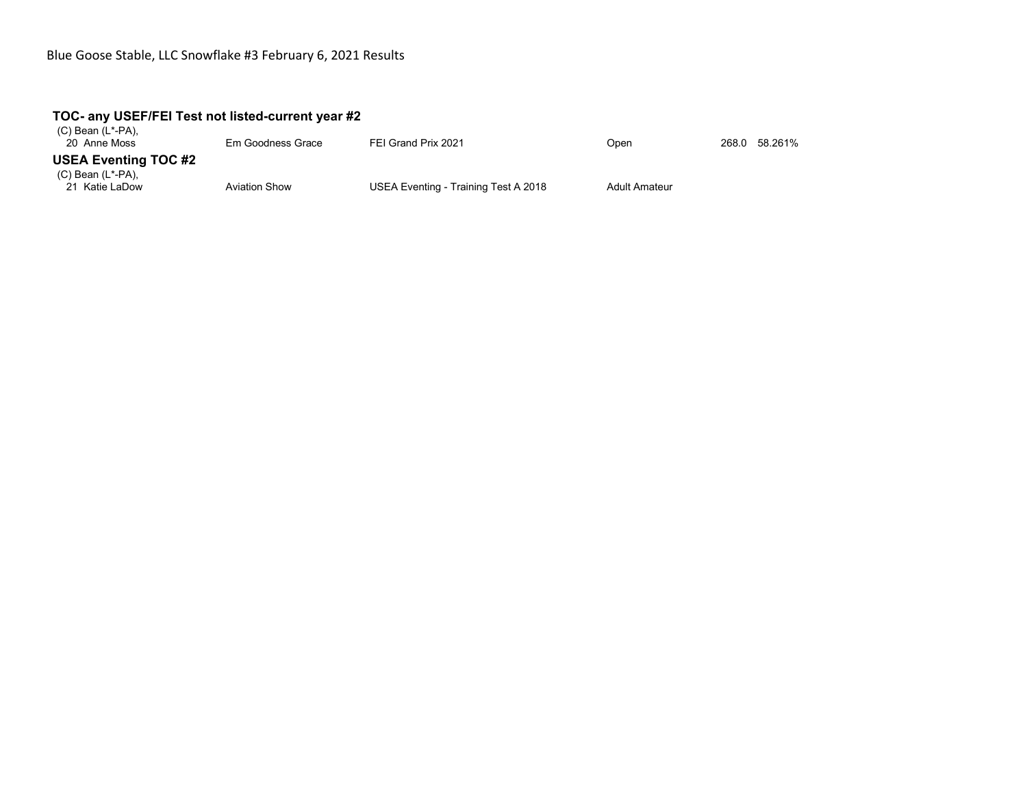## **TOC- any USEF/FEI Test not listed-current year #2**

| (C) Bean (L*-PA),<br>20 Anne Moss         | Em Goodness Grace    | FEI Grand Prix 2021                  | Open                 | 268.0 58.261% |
|-------------------------------------------|----------------------|--------------------------------------|----------------------|---------------|
| <b>USEA Eventing TOC #2</b>               |                      |                                      |                      |               |
| $(C)$ Bean $(L^*$ -PA),<br>21 Katie LaDow | <b>Aviation Show</b> | USEA Eventing - Training Test A 2018 | <b>Adult Amateur</b> |               |